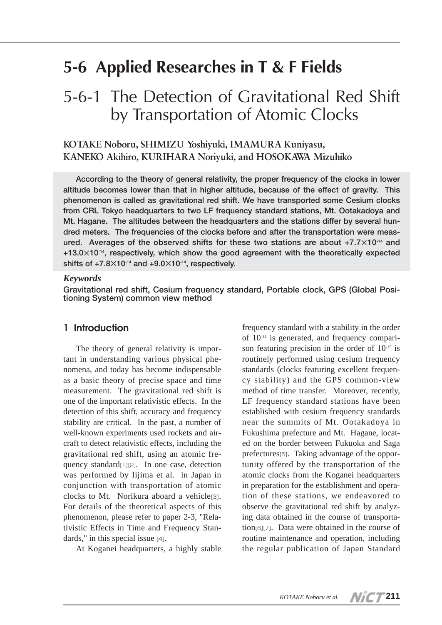# **5-6 Applied Researches in T & F Fields**

# 5-6-1 The Detection of Gravitational Red Shift by Transportation of Atomic Clocks

**KOTAKE Noboru, SHIMIZU Yoshiyuki, IMAMURA Kuniyasu, KANEKO Akihiro, KURIHARA Noriyuki, and HOSOKAWA Mizuhiko**

**According to the theory of general relativity, the proper frequency of the clocks in lower altitude becomes lower than that in higher altitude, because of the effect of gravity. This phenomenon is called as gravitational red shift. We have transported some Cesium clocks from CRL Tokyo headquarters to two LF frequency standard stations, Mt. Ootakadoya and Mt. Hagane. The altitudes between the headquarters and the stations differ by several hundred meters. The frequencies of the clocks before and after the transportation were measured. Averages of the observed shifts for these two stations are about +7.7×10-14 and +13.0×10-14, respectively, which show the good agreement with the theoretically expected shifts of +7.8×10-14 and +9.0×10-14, respectively.**

#### *Keywords*

**Gravitational red shift, Cesium frequency standard, Portable clock, GPS (Global Positioning System) common view method**

# **1 Introduction**

The theory of general relativity is important in understanding various physical phenomena, and today has become indispensable as a basic theory of precise space and time measurement. The gravitational red shift is one of the important relativistic effects. In the detection of this shift, accuracy and frequency stability are critical. In the past, a number of well-known experiments used rockets and aircraft to detect relativistic effects, including the gravitational red shift, using an atomic frequency standard[1][2]. In one case, detection was performed by Iijima et al. in Japan in conjunction with transportation of atomic clocks to Mt. Norikura aboard a vehicle<sup>[3]</sup>. For details of the theoretical aspects of this phenomenon, please refer to paper 2-3, "Relativistic Effects in Time and Frequency Standards," in this special issue [4].

At Koganei headquarters, a highly stable

frequency standard with a stability in the order of 10-14 is generated, and frequency comparison featuring precision in the order of  $10<sup>-15</sup>$  is routinely performed using cesium frequency standards (clocks featuring excellent frequency stability) and the GPS common-view method of time transfer. Moreover, recently, LF frequency standard stations have been established with cesium frequency standards near the summits of Mt. Ootakadoya in Fukushima prefecture and Mt. Hagane, located on the border between Fukuoka and Saga prefectures[5]. Taking advantage of the opportunity offered by the transportation of the atomic clocks from the Koganei headquarters in preparation for the establishment and operation of these stations, we endeavored to observe the gravitational red shift by analyzing data obtained in the course of transportation[6][7]. Data were obtained in the course of routine maintenance and operation, including the regular publication of Japan Standard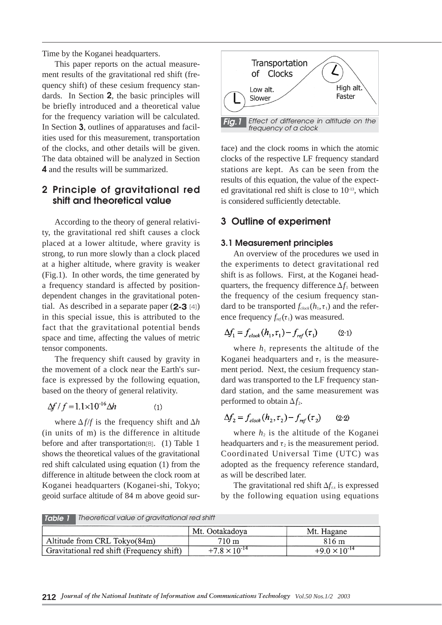Time by the Koganei headquarters.

This paper reports on the actual measurement results of the gravitational red shift (frequency shift) of these cesium frequency standards. In Section **2**, the basic principles will be briefly introduced and a theoretical value for the frequency variation will be calculated. In Section **3**, outlines of apparatuses and facilities used for this measurement, transportation of the clocks, and other details will be given. The data obtained will be analyzed in Section **4** and the results will be summarized.

# **2 Principle of gravitational red shift and theoretical value**

According to the theory of general relativity, the gravitational red shift causes a clock placed at a lower altitude, where gravity is strong, to run more slowly than a clock placed at a higher altitude, where gravity is weaker (Fig.1). In other words, the time generated by a frequency standard is affected by positiondependent changes in the gravitational potential. As described in a separate paper (**2-3** [4]) in this special issue, this is attributed to the fact that the gravitational potential bends space and time, affecting the values of metric tensor components.

The frequency shift caused by gravity in the movement of a clock near the Earth's surface is expressed by the following equation, based on the theory of general relativity.

$$
\Delta f / f = 1.1 \times 10^{-16} \Delta h \tag{1}
$$

where  $\Delta f/f$  is the frequency shift and  $\Delta h$ (in units of m) is the difference in altitude before and after transportation[8]. (1) Table 1 shows the theoretical values of the gravitational red shift calculated using equation (1) from the difference in altitude between the clock room at Koganei headquarters (Koganei-shi, Tokyo; geoid surface altitude of 84 m above geoid sur-



face) and the clock rooms in which the atomic clocks of the respective LF frequency standard stations are kept. As can be seen from the results of this equation, the value of the expected gravitational red shift is close to  $10^{-13}$ , which is considered sufficiently detectable.

### **3 Outline of experiment**

#### **3.1 Measurement principles**

An overview of the procedures we used in the experiments to detect gravitational red shift is as follows. First, at the Koganei headquarters, the frequency difference  $\Delta f_1$  between the frequency of the cesium frequency standard to be transported  $f_{clock}(h_1, \tau_1)$  and the reference frequency  $f_{ref}(\tau_1)$  was measured.

$$
\Delta f_1 = f_{clock}(h_1, \tau_1) - f_{ref}(\tau_1) \tag{2-1}
$$

where  $h_1$  represents the altitude of the Koganei headquarters and  $\tau_1$  is the measurement period. Next, the cesium frequency standard was transported to the LF frequency standard station, and the same measurement was performed to obtain  $\Delta f_2$ .

$$
\Delta f_2 = f_{clock}(h_2, \tau_2) - f_{ref}(\tau_2) \qquad (2.2)
$$

where  $h_2$  is the altitude of the Koganei headquarters and  $\tau_2$  is the measurement period. Coordinated Universal Time (UTC) was adopted as the frequency reference standard, as will be described later.

The gravitational red shiftΔ*fr.s* is expressed by the following equation using equations

| <b>Table 1</b> | Theoretical value of gravitational red shift |
|----------------|----------------------------------------------|
|----------------|----------------------------------------------|

|                                           | Mt. Ootakadoya         | Mt. Hagane             |
|-------------------------------------------|------------------------|------------------------|
| Altitude from CRL Tokyo(84m)              | 710 m                  | $816 \text{ m}$        |
| Gravitational red shift (Frequency shift) | $+7.8 \times 10^{-14}$ | $+9.0 \times 10^{-14}$ |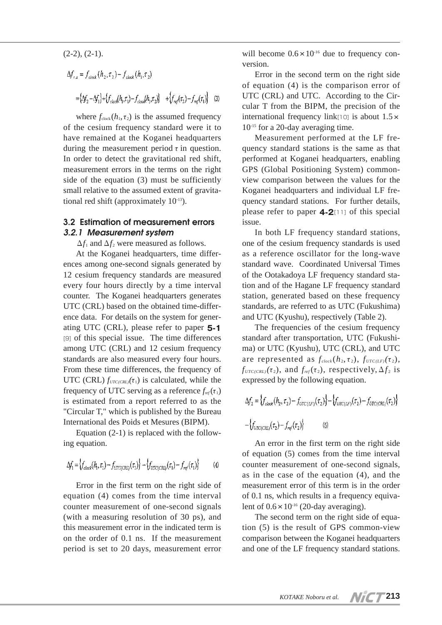$$
(2-2), (2-1).
$$
  
\n
$$
\Delta f_{r,s} = f_{clock} (h_2, \tau_2) - f_{clock} (h_1, \tau_2)
$$
  
\n
$$
= \{\Delta f_2 - \Delta f_1\} + \{f_{clock} (h_1, \tau_1) - f_{clock} (h_1, \tau_2)\} + \{f_{ref}(\tau_2) - f_{ref}(\tau_1)\} \quad (3)
$$

where  $f_{\text{clock}}(h_1, \tau_2)$  is the assumed frequency of the cesium frequency standard were it to have remained at the Koganei headquarters during the measurement period  $\tau$  in question. In order to detect the gravitational red shift, measurement errors in the terms on the right side of the equation (3) must be sufficiently small relative to the assumed extent of gravitational red shift (approximately 10-13).

## **3.2 Estimation of measurement errors** *3.2.1 Measurement system*

 $\Delta f_1$  and  $\Delta f_2$  were measured as follows.

At the Koganei headquarters, time differences among one-second signals generated by 12 cesium frequency standards are measured every four hours directly by a time interval counter. The Koganei headquarters generates UTC (CRL) based on the obtained time-difference data. For details on the system for generating UTC (CRL), please refer to paper **5-1** [9] of this special issue. The time differences among UTC (CRL) and 12 cesium frequency standards are also measured every four hours. From these time differences, the frequency of UTC (CRL)  $f_{UTC(CRL)}(\tau_1)$  is calculated, while the frequency of UTC serving as a reference  $f_{ref}(\tau_1)$ is estimated from a report referred to as the "Circular T," which is published by the Bureau International des Poids et Mesures (BIPM).

Equation (2-1) is replaced with the following equation.

$$
\Delta f_1 = \left\{ f_{clock}(h_1, \tau_1) - f_{\text{UTC(CRL)}}(\tau_1) \right\} - \left\{ f_{\text{UTC(CRL)}}(\tau_1) - f_{\text{ref}}(\tau_1) \right\} \tag{4}
$$

Error in the first term on the right side of equation (4) comes from the time interval counter measurement of one-second signals (with a measuring resolution of 30 ps), and this measurement error in the indicated term is on the order of 0.1 ns. If the measurement period is set to 20 days, measurement error

will become  $0.6 \times 10^{-16}$  due to frequency conversion.

Error in the second term on the right side of equation (4) is the comparison error of UTC (CRL) and UTC. According to the Circular T from the BIPM, the precision of the international frequency link $[10]$  is about  $1.5 \times$ 10-15 for a 20-day averaging time.

Measurement performed at the LF frequency standard stations is the same as that performed at Koganei headquarters, enabling GPS (Global Positioning System) commonview comparison between the values for the Koganei headquarters and individual LF frequency standard stations. For further details, please refer to paper **4-2**[11] of this special issue.

In both LF frequency standard stations, one of the cesium frequency standards is used as a reference oscillator for the long-wave standard wave. Coordinated Universal Times of the Ootakadoya LF frequency standard station and of the Hagane LF frequency standard station, generated based on these frequency standards, are referred to as UTC (Fukushima) and UTC (Kyushu), respectively (Table 2).

The frequencies of the cesium frequency standard after transportation, UTC (Fukushima) or UTC (Kyushu), UTC (CRL), and UTC are represented as  $f_{clock}(h_2, \tau_2)$ ,  $f_{UTC(LF)}(\tau_2)$ ,  $f_{UTC(CRL)}(\tau_2)$ , and  $f_{ref}(\tau_2)$ , respectively,  $\Delta f_2$  is expressed by the following equation.

$$
\Delta f_2 = \left\{ f_{clock}(h_2, \tau_2) - f_{UTC(LF)}(\tau_2) \right\} - \left\{ f_{UTC(LF)}(\tau_2) - f_{UTC(CRL)}(\tau_2) \right\}
$$

$$
- \left\{ f_{UTC(CRL)}(\tau_2) - f_{ref}(\tau_2) \right\}
$$
(5)

An error in the first term on the right side of equation (5) comes from the time interval counter measurement of one-second signals, as in the case of the equation (4), and the measurement error of this term is in the order of 0.1 ns, which results in a frequency equivalent of  $0.6 \times 10^{-16}$  (20-day averaging).

The second term on the right side of equation (5) is the result of GPS common-view comparison between the Koganei headquarters and one of the LF frequency standard stations.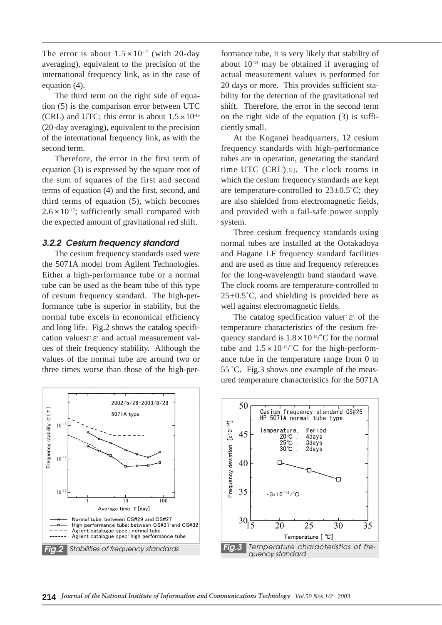The error is about  $1.5 \times 10^{-15}$  (with 20-day averaging), equivalent to the precision of the international frequency link, as in the case of equation (4).

The third term on the right side of equation (5) is the comparison error between UTC (CRL) and UTC; this error is about  $1.5 \times 10^{-15}$ (20-day averaging), equivalent to the precision of the international frequency link, as with the second term.

Therefore, the error in the first term of equation (3) is expressed by the square root of the sum of squares of the first and second terms of equation (4) and the first, second, and third terms of equation (5), which becomes  $2.6 \times 10^{-15}$ ; sufficiently small compared with the expected amount of gravitational red shift.

#### *3.2.2 Cesium frequency standard*

The cesium frequency standards used were the 5071A model from Agilent Technologies. Either a high-performance tube or a normal tube can be used as the beam tube of this type of cesium frequency standard. The high-performance tube is superior in stability, but the normal tube excels in economical efficiency and long life. Fig.2 shows the catalog specification values[12] and actual measurement values of their frequency stability. Although the values of the normal tube are around two or three times worse than those of the high-performance tube, it is very likely that stability of about 10-14 may be obtained if averaging of actual measurement values is performed for 20 days or more. This provides sufficient stability for the detection of the gravitational red shift. Therefore, the error in the second term on the right side of the equation (3) is sufficiently small.

At the Koganei headquarters, 12 cesium frequency standards with high-performance tubes are in operation, generating the standard time UTC (CRL)[9]. The clock rooms in which the cesium frequency standards are kept are temperature-controlled to  $23\pm0.5^{\circ}$ C; they are also shielded from electromagnetic fields, and provided with a fail-safe power supply system.

Three cesium frequency standards using normal tubes are installed at the Ootakadoya and Hagane LF frequency standard facilities and are used as time and frequency references for the long-wavelength band standard wave. The clock rooms are temperature-controlled to  $25\pm0.5^{\circ}$ C, and shielding is provided here as well against electromagnetic fields.

The catalog specification value[12] of the temperature characteristics of the cesium frequency standard is  $1.8 \times 10^{-15}$ °C for the normal tube and  $1.5 \times 10^{-15}$ °C for the high-performance tube in the temperature range from 0 to 55 ˚C. Fig.3 shows one example of the measured temperature characteristics for the 5071A

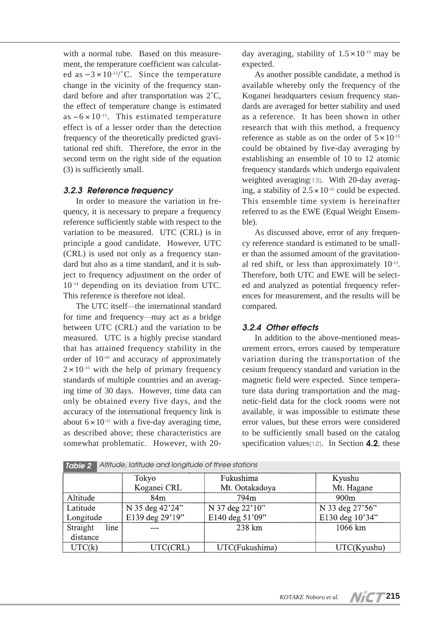with a normal tube. Based on this measurement, the temperature coefficient was calculated as  $-3 \times 10^{-15}$ °C. Since the temperature change in the vicinity of the frequency standard before and after transportation was 2˚C, the effect of temperature change is estimated as  $-6 \times 10^{-15}$ . This estimated temperature effect is of a lesser order than the detection frequency of the theoretically predicted gravitational red shift. Therefore, the error in the second term on the right side of the equation (3) is sufficiently small.

## *3.2.3 Reference frequency*

In order to measure the variation in frequency, it is necessary to prepare a frequency reference sufficiently stable with respect to the variation to be measured. UTC (CRL) is in principle a good candidate. However, UTC (CRL) is used not only as a frequency standard but also as a time standard, and it is subject to frequency adjustment on the order of 10<sup>-14</sup> depending on its deviation from UTC. This reference is therefore not ideal.

The UTC itself—the international standard for time and frequency―may act as a bridge between UTC (CRL) and the variation to be measured. UTC is a highly precise standard that has attained frequency stability in the order of 10-16 and accuracy of approximately  $2 \times 10^{-15}$  with the help of primary frequency standards of multiple countries and an averaging time of 30 days. However, time data can only be obtained every five days, and the accuracy of the international frequency link is about  $6 \times 10^{-15}$  with a five-day averaging time, as described above; these characteristics are somewhat problematic. However, with 20day averaging, stability of  $1.5 \times 10^{-15}$  may be expected.

As another possible candidate, a method is available whereby only the frequency of the Koganei headquarters cesium frequency standards are averaged for better stability and used as a reference. It has been shown in other research that with this method, a frequency reference as stable as on the order of  $5 \times 10^{-15}$ could be obtained by five-day averaging by establishing an ensemble of 10 to 12 atomic frequency standards which undergo equivalent weighted averaging[13]. With 20-day averaging, a stability of  $2.5 \times 10^{-15}$  could be expected. This ensemble time system is hereinafter referred to as the EWE (Equal Weight Ensemble).

As discussed above, error of any frequency reference standard is estimated to be smaller than the assumed amount of the gravitational red shift, or less than approximately 10-13. Therefore, both UTC and EWE will be selected and analyzed as potential frequency references for measurement, and the results will be compared.

# *3.2.4 Other effects*

In addition to the above-mentioned measurement errors, errors caused by temperature variation during the transportation of the cesium frequency standard and variation in the magnetic field were expected. Since temperature data during transportation and the magnetic-field data for the clock rooms were not available, it was impossible to estimate these error values, but these errors were considered to be sufficiently small based on the catalog specification values[12]. In Section **4.2**, these

| .                |                 |                 |                 |
|------------------|-----------------|-----------------|-----------------|
|                  | Tokyo           | Fukushima       | Kyushu          |
|                  | Koganei CRL     | Mt. Ootakadoya  | Mt. Hagane      |
| Altitude         | 84m             | 794m            | 900m            |
| Latitude         | N 35 deg 42'24" | N 37 deg 22'10" | N 33 deg 27'56" |
| Longitude        | E139 deg 29'19" | E140 deg 51'09" | E130 deg 10'34" |
| Straight<br>line |                 | 238 km          | 1066 km         |
| distance         |                 |                 |                 |
| UTC(k)           | UTC(CRL)        | UTC(Fukushima)  | UTC(Kyushu)     |

*Table 2 Altitude, latitude and longitude of three stations*

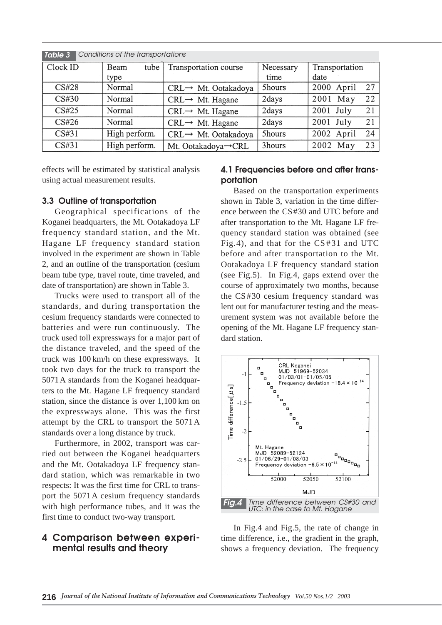| Conditions of the transportations<br>Table 3 |               |                                   |           |                |    |
|----------------------------------------------|---------------|-----------------------------------|-----------|----------------|----|
| Clock ID                                     | Beam<br>tube  | Transportation course             | Necessary | Transportation |    |
|                                              | type          |                                   | time      | date           |    |
| CS#28                                        | Normal        | $CRL \rightarrow Mt$ . Ootakadoya | 5hours    | 2000 April     | 27 |
| CS#30                                        | Normal        | $CRL \rightarrow Mt$ . Hagane     | 2days     | $2001$ May     | 22 |
| CS#25                                        | Normal        | $CRL \rightarrow Mt$ . Hagane     | 2days     | 2001 July      | 21 |
| CS#26                                        | Normal        | $CRL \rightarrow Mt$ . Hagane     | 2days     | 2001 July      | 21 |
| CS#31                                        | High perform. | CRL→ Mt. Ootakadoya               | 5hours    | 2002 April     | 24 |
| CS#31                                        | High perform. | Mt. Ootakadoya→CRL                | 3hours    | 2002 May       | 23 |

effects will be estimated by statistical analysis using actual measurement results.

#### **3.3 Outline of transportation**

Geographical specifications of the Koganei headquarters, the Mt. Ootakadoya LF frequency standard station, and the Mt. Hagane LF frequency standard station involved in the experiment are shown in Table 2, and an outline of the transportation (cesium beam tube type, travel route, time traveled, and date of transportation) are shown in Table 3.

Trucks were used to transport all of the standards, and during transportation the cesium frequency standards were connected to batteries and were run continuously. The truck used toll expressways for a major part of the distance traveled, and the speed of the truck was 100 km/h on these expressways. It took two days for the truck to transport the 5071A standards from the Koganei headquarters to the Mt. Hagane LF frequency standard station, since the distance is over 1,100 km on the expressways alone. This was the first attempt by the CRL to transport the 5071A standards over a long distance by truck.

Furthermore, in 2002, transport was carried out between the Koganei headquarters and the Mt. Ootakadoya LF frequency standard station, which was remarkable in two respects: It was the first time for CRL to transport the 5071A cesium frequency standards with high performance tubes, and it was the first time to conduct two-way transport.

## **4 Comparison between experimental results and theory**

#### **4.1 Frequencies before and after transportation**

Based on the transportation experiments shown in Table 3, variation in the time difference between the CS#30 and UTC before and after transportation to the Mt. Hagane LF frequency standard station was obtained (see Fig.4), and that for the CS#31 and UTC before and after transportation to the Mt. Ootakadoya LF frequency standard station (see Fig.5). In Fig.4, gaps extend over the course of approximately two months, because the CS#30 cesium frequency standard was lent out for manufacturer testing and the measurement system was not available before the opening of the Mt. Hagane LF frequency standard station.



In Fig.4 and Fig.5, the rate of change in time difference, i.e., the gradient in the graph, shows a frequency deviation. The frequency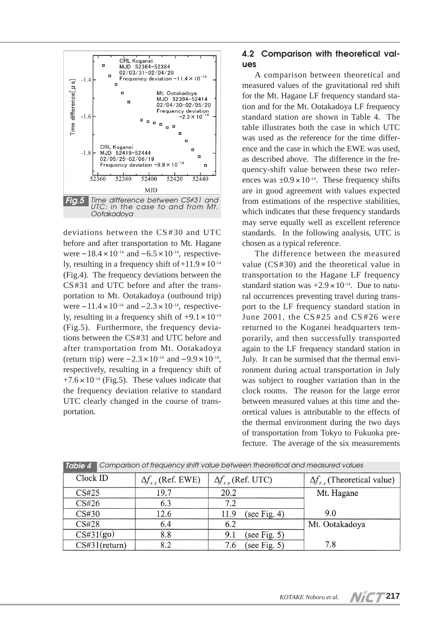

deviations between the CS#30 and UTC before and after transportation to Mt. Hagane were  $-18.4 \times 10^{-14}$  and  $-6.5 \times 10^{-14}$ , respectively, resulting in a frequency shift of  $+11.9 \times 10^{-14}$ (Fig.4). The frequency deviations between the CS#31 and UTC before and after the transportation to Mt. Ootakadoya (outbound trip) were  $-11.4 \times 10^{-14}$  and  $-2.3 \times 10^{-14}$ , respectively, resulting in a frequency shift of  $+9.1 \times 10^{-14}$ (Fig.5). Furthermore, the frequency deviations between the CS#31 and UTC before and after transportation from Mt. Ootakadoya (return trip) were  $-2.3 \times 10^{-14}$  and  $-9.9 \times 10^{-14}$ , respectively, resulting in a frequency shift of  $+7.6 \times 10^{-14}$  (Fig.5). These values indicate that the frequency deviation relative to standard UTC clearly changed in the course of transportation.

# **4.2 Comparison with theoretical values**

A comparison between theoretical and measured values of the gravitational red shift for the Mt. Hagane LF frequency standard station and for the Mt. Ootakadoya LF frequency standard station are shown in Table 4. The table illustrates both the case in which UTC was used as the reference for the time difference and the case in which the EWE was used, as described above. The difference in the frequency-shift value between these two references was  $\pm 0.9 \times 10^{-14}$ . These frequency shifts are in good agreement with values expected from estimations of the respective stabilities, which indicates that these frequency standards may serve equally well as excellent reference standards. In the following analysis, UTC is chosen as a typical reference.

The difference between the measured value (CS#30) and the theoretical value in transportation to the Hagane LF frequency standard station was  $+2.9 \times 10^{-14}$ . Due to natural occurrences preventing travel during transport to the LF frequency standard station in June 2001, the CS#25 and CS#26 were returned to the Koganei headquarters temporarily, and then successfully transported again to the LF frequency standard station in July. It can be surmised that the thermal environment during actual transportation in July was subject to rougher variation than in the clock rooms. The reason for the large error between measured values at this time and theoretical values is attributable to the effects of the thermal environment during the two days of transportation from Tokyo to Fukuoka prefecture. The average of the six measurements

| Clock ID         | $\Delta f_{rs}$ (Ref. EWE) | $\Delta f_{r}$ (Ref. UTC) | $\Delta f_{rs}$ (Theoretical value) |
|------------------|----------------------------|---------------------------|-------------------------------------|
| CS#25            | 19.7                       | 20.2                      | Mt. Hagane                          |
| CS#26            | 6.3                        | 7.2                       |                                     |
| CS#30            | 12.6                       | (see Fig. 4)<br>11.9      | 9.0                                 |
| <b>CS#28</b>     | 6.4                        | 6.2                       | Mt. Ootakadoya                      |
| CS#31(go)        | 8.8                        | (see Fig. $5$ )<br>9.1    |                                     |
| $CS#31$ (return) | 8.2                        | (see Fig. $5$ )<br>7.6    | 7.8                                 |

*Table 4 Comparison of frequency shift value between theoretical and measured values*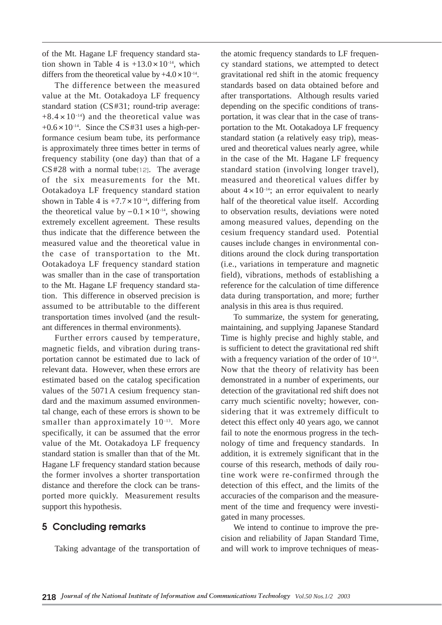of the Mt. Hagane LF frequency standard station shown in Table 4 is  $+13.0 \times 10^{-14}$ , which differs from the theoretical value by  $+4.0 \times 10^{-14}$ .

The difference between the measured value at the Mt. Ootakadoya LF frequency standard station (CS#31; round-trip average:  $+8.4 \times 10^{-14}$ ) and the theoretical value was  $+0.6\times10^{-14}$ . Since the CS#31 uses a high-performance cesium beam tube, its performance is approximately three times better in terms of frequency stability (one day) than that of a  $CS#28$  with a normal tube<sup>[12]</sup>. The average of the six measurements for the Mt. Ootakadoya LF frequency standard station shown in Table 4 is  $+7.7 \times 10^{-14}$ , differing from the theoretical value by  $-0.1 \times 10^{-14}$ , showing extremely excellent agreement. These results thus indicate that the difference between the measured value and the theoretical value in the case of transportation to the Mt. Ootakadoya LF frequency standard station was smaller than in the case of transportation to the Mt. Hagane LF frequency standard station. This difference in observed precision is assumed to be attributable to the different transportation times involved (and the resultant differences in thermal environments).

Further errors caused by temperature, magnetic fields, and vibration during transportation cannot be estimated due to lack of relevant data. However, when these errors are estimated based on the catalog specification values of the 5071A cesium frequency standard and the maximum assumed environmental change, each of these errors is shown to be smaller than approximately  $10^{-13}$ . More specifically, it can be assumed that the error value of the Mt. Ootakadoya LF frequency standard station is smaller than that of the Mt. Hagane LF frequency standard station because the former involves a shorter transportation distance and therefore the clock can be transported more quickly. Measurement results support this hypothesis.

### **5 Concluding remarks**

Taking advantage of the transportation of

the atomic frequency standards to LF frequency standard stations, we attempted to detect gravitational red shift in the atomic frequency standards based on data obtained before and after transportations. Although results varied depending on the specific conditions of transportation, it was clear that in the case of transportation to the Mt. Ootakadoya LF frequency standard station (a relatively easy trip), measured and theoretical values nearly agree, while in the case of the Mt. Hagane LF frequency standard station (involving longer travel), measured and theoretical values differ by about  $4 \times 10^{-14}$ ; an error equivalent to nearly half of the theoretical value itself. According to observation results, deviations were noted among measured values, depending on the cesium frequency standard used. Potential causes include changes in environmental conditions around the clock during transportation (i.e., variations in temperature and magnetic field), vibrations, methods of establishing a reference for the calculation of time difference data during transportation, and more; further analysis in this area is thus required.

To summarize, the system for generating, maintaining, and supplying Japanese Standard Time is highly precise and highly stable, and is sufficient to detect the gravitational red shift with a frequency variation of the order of  $10^{-14}$ . Now that the theory of relativity has been demonstrated in a number of experiments, our detection of the gravitational red shift does not carry much scientific novelty; however, considering that it was extremely difficult to detect this effect only 40 years ago, we cannot fail to note the enormous progress in the technology of time and frequency standards. In addition, it is extremely significant that in the course of this research, methods of daily routine work were re-confirmed through the detection of this effect, and the limits of the accuracies of the comparison and the measurement of the time and frequency were investigated in many processes.

We intend to continue to improve the precision and reliability of Japan Standard Time, and will work to improve techniques of meas